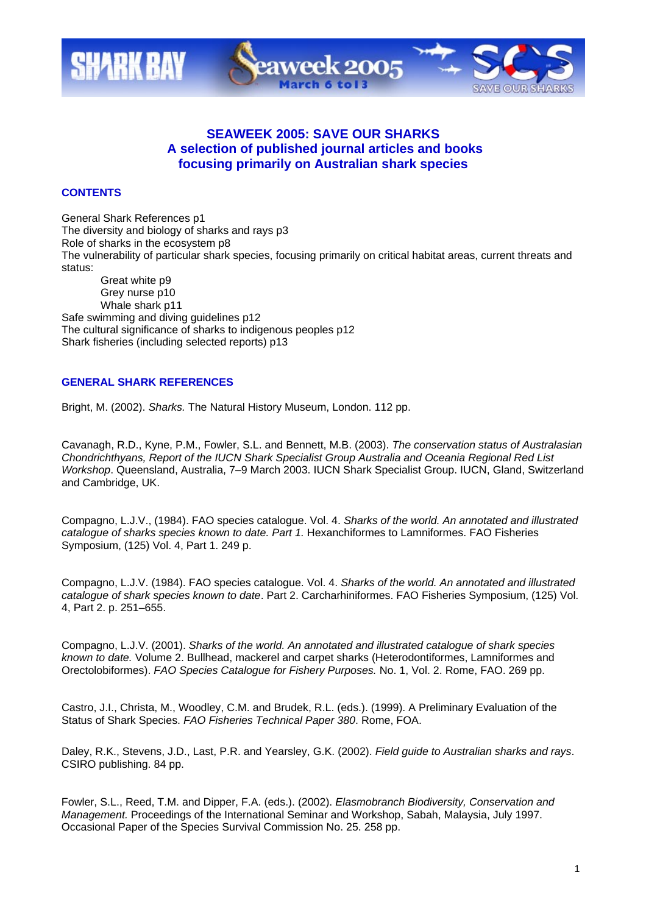

# **SEAWEEK 2005: SAVE OUR SHARKS A selection of published journal articles and books focusing primarily on Australian shark species**

## **CONTENTS**

General Shark References p1 The diversity and biology of sharks and rays p3 Role of sharks in the ecosystem p8 The vulnerability of particular shark species, focusing primarily on critical habitat areas, current threats and status: Great white p9

Grey nurse p10 Whale shark p11 Safe swimming and diving guidelines p12 The cultural significance of sharks to indigenous peoples p12 Shark fisheries (including selected reports) p13

## **GENERAL SHARK REFERENCES**

Bright, M. (2002). *Sharks.* The Natural History Museum, London. 112 pp.

Cavanagh, R.D., Kyne, P.M., Fowler, S.L. and Bennett, M.B. (2003). *The conservation status of Australasian Chondrichthyans, Report of the IUCN Shark Specialist Group Australia and Oceania Regional Red List Workshop*. Queensland, Australia, 7–9 March 2003. IUCN Shark Specialist Group. IUCN, Gland, Switzerland and Cambridge, UK.

Compagno, L.J.V., (1984). FAO species catalogue. Vol. 4. *Sharks of the world. An annotated and illustrated catalogue of sharks species known to date. Part 1.* Hexanchiformes to Lamniformes. FAO Fisheries Symposium, (125) Vol. 4, Part 1. 249 p.

Compagno, L.J.V. (1984). FAO species catalogue. Vol. 4. *Sharks of the world. An annotated and illustrated catalogue of shark species known to date*. Part 2. Carcharhiniformes. FAO Fisheries Symposium, (125) Vol. 4, Part 2. p. 251–655.

Compagno, L.J.V. (2001). *Sharks of the world. An annotated and illustrated catalogue of shark species known to date.* Volume 2. Bullhead, mackerel and carpet sharks (Heterodontiformes, Lamniformes and Orectolobiformes). *FAO Species Catalogue for Fishery Purposes.* No. 1, Vol. 2. Rome, FAO. 269 pp.

Castro, J.I., Christa, M., Woodley, C.M. and Brudek, R.L. (eds.). (1999). A Preliminary Evaluation of the Status of Shark Species. *FAO Fisheries Technical Paper 380*. Rome, FOA.

Daley, R.K., Stevens, J.D., Last, P.R. and Yearsley, G.K. (2002). *Field guide to Australian sharks and rays*. CSIRO publishing. 84 pp.

Fowler, S.L., Reed, T.M. and Dipper, F.A. (eds.). (2002). *Elasmobranch Biodiversity, Conservation and Management.* Proceedings of the International Seminar and Workshop, Sabah, Malaysia, July 1997. Occasional Paper of the Species Survival Commission No. 25. 258 pp.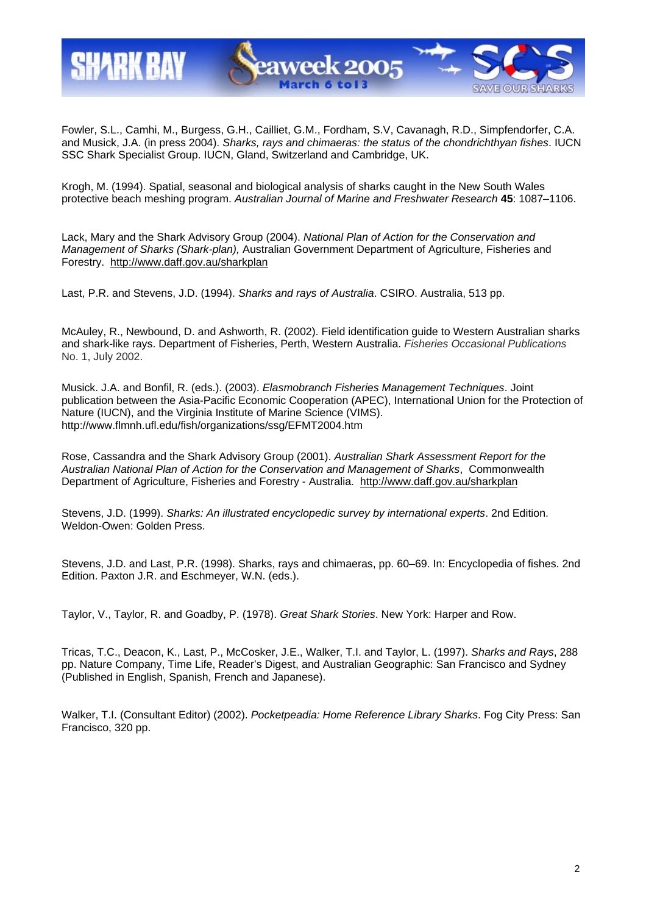

Fowler, S.L., Camhi, M., Burgess, G.H., Cailliet, G.M., Fordham, S.V, Cavanagh, R.D., Simpfendorfer, C.A. and Musick, J.A. (in press 2004). *Sharks, rays and chimaeras: the status of the chondrichthyan fishes*. IUCN SSC Shark Specialist Group. IUCN, Gland, Switzerland and Cambridge, UK.

Krogh, M. (1994). Spatial, seasonal and biological analysis of sharks caught in the New South Wales protective beach meshing program. *Australian Journal of Marine and Freshwater Research* **45**: 1087–1106.

Lack, Mary and the Shark Advisory Group (2004). *National Plan of Action for the Conservation and Management of Sharks (Shark-plan),* Australian Government Department of Agriculture, Fisheries and Forestry. http://www.daff.gov.au/sharkplan

Last, P.R. and Stevens, J.D. (1994). *Sharks and rays of Australia*. CSIRO. Australia, 513 pp.

McAuley, R., Newbound, D. and Ashworth, R. (2002). Field identification guide to Western Australian sharks and shark-like rays. Department of Fisheries, Perth, Western Australia. *Fisheries Occasional Publications* No. 1, July 2002.

Musick. J.A. and Bonfil, R. (eds.). (2003). *Elasmobranch Fisheries Management Techniques*. Joint publication between the Asia-Pacific Economic Cooperation (APEC), International Union for the Protection of Nature (IUCN), and the Virginia Institute of Marine Science (VIMS). http://www.flmnh.ufl.edu/fish/organizations/ssg/EFMT2004.htm

Rose, Cassandra and the Shark Advisory Group (2001). *Australian Shark Assessment Report for the Australian National Plan of Action for the Conservation and Management of Sharks*, Commonwealth Department of Agriculture, Fisheries and Forestry - Australia. http://www.daff.gov.au/sharkplan

Stevens, J.D. (1999). *Sharks: An illustrated encyclopedic survey by international experts*. 2nd Edition. Weldon-Owen: Golden Press.

Stevens, J.D. and Last, P.R. (1998). Sharks, rays and chimaeras, pp. 60–69. In: Encyclopedia of fishes. 2nd Edition. Paxton J.R. and Eschmeyer, W.N. (eds.).

Taylor, V., Taylor, R. and Goadby, P. (1978). *Great Shark Stories*. New York: Harper and Row.

Tricas, T.C., Deacon, K., Last, P., McCosker, J.E., Walker, T.I. and Taylor, L. (1997). *Sharks and Rays*, 288 pp. Nature Company, Time Life, Reader's Digest, and Australian Geographic: San Francisco and Sydney (Published in English, Spanish, French and Japanese).

Walker, T.I. (Consultant Editor) (2002). *Pocketpeadia: Home Reference Library Sharks*. Fog City Press: San Francisco, 320 pp.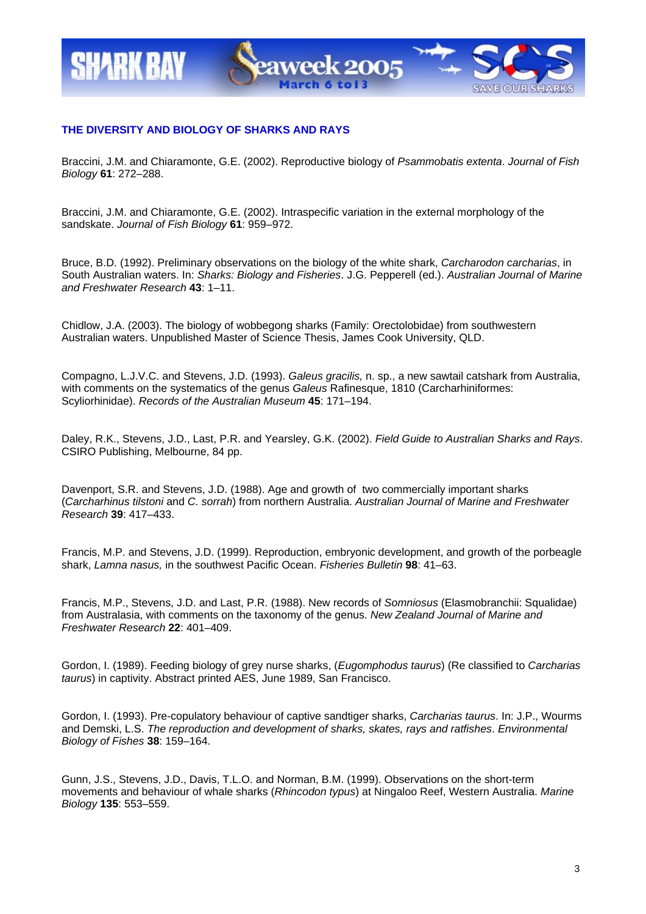

## **THE DIVERSITY AND BIOLOGY OF SHARKS AND RAYS**

Braccini, J.M. and Chiaramonte, G.E. (2002). Reproductive biology of *Psammobatis extenta*. *Journal of Fish Biology* **61**: 272–288.

Braccini, J.M. and Chiaramonte, G.E. (2002). Intraspecific variation in the external morphology of the sandskate. *Journal of Fish Biology* **61**: 959–972.

Bruce, B.D. (1992). Preliminary observations on the biology of the white shark, *Carcharodon carcharias*, in South Australian waters. In: *Sharks: Biology and Fisheries*. J.G. Pepperell (ed.). *Australian Journal of Marine and Freshwater Research* **43**: 1–11.

Chidlow, J.A. (2003). The biology of wobbegong sharks (Family: Orectolobidae) from southwestern Australian waters. Unpublished Master of Science Thesis, James Cook University, QLD.

Compagno, L.J.V.C. and Stevens, J.D. (1993). *Galeus gracilis,* n. sp., a new sawtail catshark from Australia, with comments on the systematics of the genus *Galeus* Rafinesque, 1810 (Carcharhiniformes: Scyliorhinidae). *Records of the Australian Museum* **45**: 171–194.

Daley, R.K., Stevens, J.D., Last, P.R. and Yearsley, G.K. (2002). *Field Guide to Australian Sharks and Rays*. CSIRO Publishing, Melbourne, 84 pp.

Davenport, S.R. and Stevens, J.D. (1988). Age and growth of two commercially important sharks (*Carcharhinus tilstoni* and *C. sorrah*) from northern Australia. *Australian Journal of Marine and Freshwater Research* **39**: 417–433.

Francis, M.P. and Stevens, J.D. (1999). Reproduction, embryonic development, and growth of the porbeagle shark, *Lamna nasus,* in the southwest Pacific Ocean. *Fisheries Bulletin* **98**: 41–63.

Francis, M.P., Stevens, J.D. and Last, P.R. (1988). New records of *Somniosus* (Elasmobranchii: Squalidae) from Australasia, with comments on the taxonomy of the genus. *New Zealand Journal of Marine and Freshwater Research* **22**: 401–409.

Gordon, I. (1989). Feeding biology of grey nurse sharks, (*Eugomphodus taurus*) (Re classified to *Carcharias taurus*) in captivity. Abstract printed AES, June 1989, San Francisco.

Gordon, I. (1993). Pre-copulatory behaviour of captive sandtiger sharks, *Carcharias taurus*. In: J.P., Wourms and Demski, L.S. *The reproduction and development of sharks, skates, rays and ratfishes*. *Environmental Biology of Fishes* **38**: 159–164.

Gunn, J.S., Stevens, J.D., Davis, T.L.O. and Norman, B.M. (1999). Observations on the short-term movements and behaviour of whale sharks (*Rhincodon typus*) at Ningaloo Reef, Western Australia. *Marine Biology* **135**: 553–559.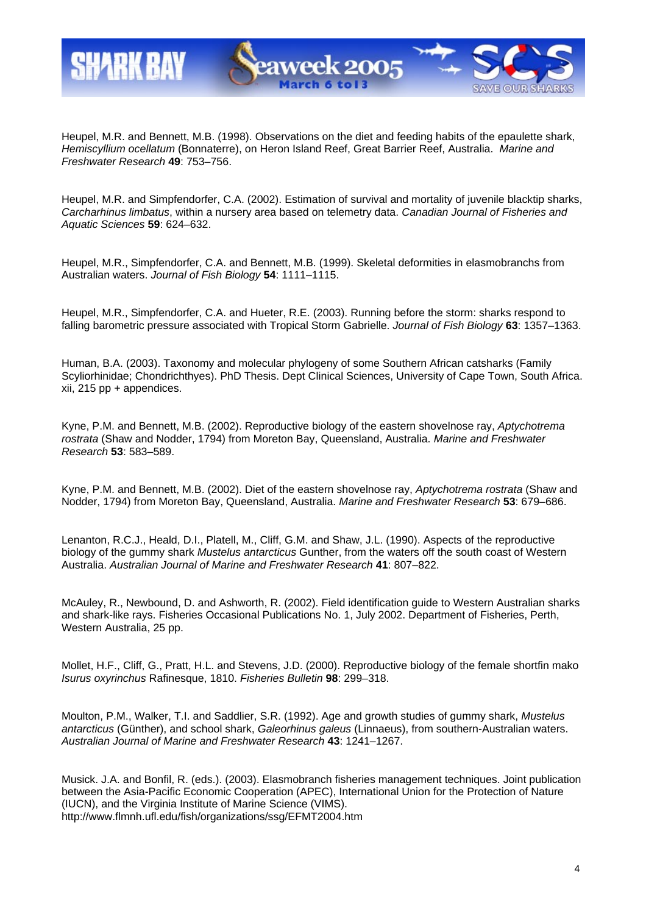

Heupel, M.R. and Bennett, M.B. (1998). Observations on the diet and feeding habits of the epaulette shark, *Hemiscyllium ocellatum* (Bonnaterre), on Heron Island Reef, Great Barrier Reef, Australia. *Marine and Freshwater Research* **49**: 753–756.

Heupel, M.R. and Simpfendorfer, C.A. (2002). Estimation of survival and mortality of juvenile blacktip sharks, *Carcharhinus limbatus*, within a nursery area based on telemetry data. *Canadian Journal of Fisheries and Aquatic Sciences* **59**: 624–632.

Heupel, M.R., Simpfendorfer, C.A. and Bennett, M.B. (1999). Skeletal deformities in elasmobranchs from Australian waters. *Journal of Fish Biology* **54**: 1111–1115.

Heupel, M.R., Simpfendorfer, C.A. and Hueter, R.E. (2003). Running before the storm: sharks respond to falling barometric pressure associated with Tropical Storm Gabrielle. *Journal of Fish Biology* **63**: 1357–1363.

Human, B.A. (2003). Taxonomy and molecular phylogeny of some Southern African catsharks (Family Scyliorhinidae; Chondrichthyes). PhD Thesis. Dept Clinical Sciences, University of Cape Town, South Africa. xii, 215 pp + appendices.

Kyne, P.M. and Bennett, M.B. (2002). Reproductive biology of the eastern shovelnose ray, *Aptychotrema rostrata* (Shaw and Nodder, 1794) from Moreton Bay, Queensland, Australia. *Marine and Freshwater Research* **53**: 583–589.

Kyne, P.M. and Bennett, M.B. (2002). Diet of the eastern shovelnose ray, *Aptychotrema rostrata* (Shaw and Nodder, 1794) from Moreton Bay, Queensland, Australia. *Marine and Freshwater Research* **53**: 679–686.

Lenanton, R.C.J., Heald, D.I., Platell, M., Cliff, G.M. and Shaw, J.L. (1990). Aspects of the reproductive biology of the gummy shark *Mustelus antarcticus* Gunther, from the waters off the south coast of Western Australia. *Australian Journal of Marine and Freshwater Research* **41**: 807–822.

McAuley, R., Newbound, D. and Ashworth, R. (2002). Field identification guide to Western Australian sharks and shark-like rays. Fisheries Occasional Publications No. 1, July 2002. Department of Fisheries, Perth, Western Australia, 25 pp.

Mollet, H.F., Cliff, G., Pratt, H.L. and Stevens, J.D. (2000). Reproductive biology of the female shortfin mako *Isurus oxyrinchus* Rafinesque, 1810. *Fisheries Bulletin* **98**: 299–318.

Moulton, P.M., Walker, T.I. and Saddlier, S.R. (1992). Age and growth studies of gummy shark, *Mustelus antarcticus* (Günther), and school shark, *Galeorhinus galeus* (Linnaeus), from southern-Australian waters. *Australian Journal of Marine and Freshwater Research* **43**: 1241–1267.

Musick. J.A. and Bonfil, R. (eds.). (2003). Elasmobranch fisheries management techniques. Joint publication between the Asia-Pacific Economic Cooperation (APEC), International Union for the Protection of Nature (IUCN), and the Virginia Institute of Marine Science (VIMS). http://www.flmnh.ufl.edu/fish/organizations/ssg/EFMT2004.htm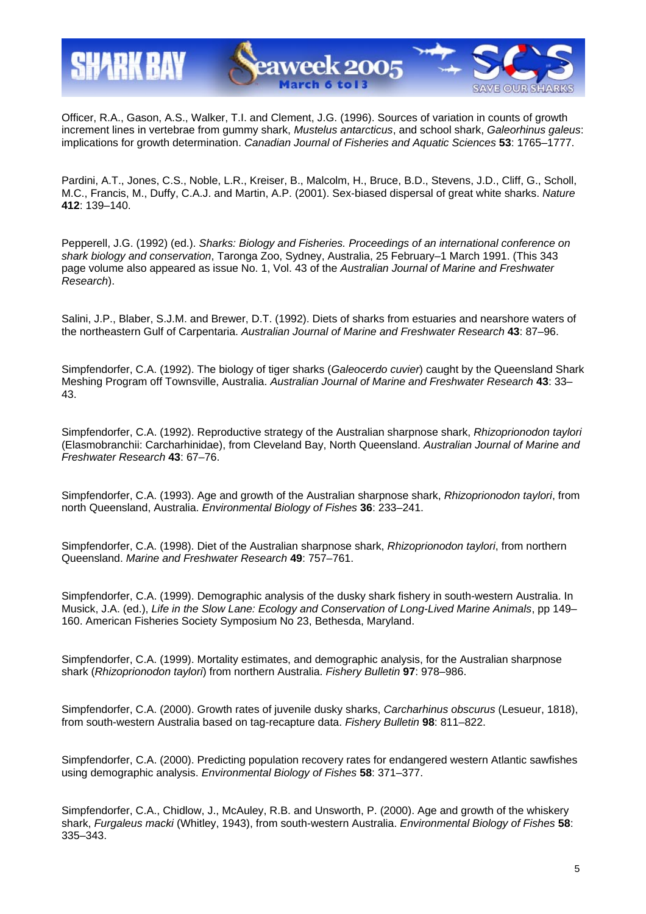

Officer, R.A., Gason, A.S., Walker, T.I. and Clement, J.G. (1996). Sources of variation in counts of growth increment lines in vertebrae from gummy shark, *Mustelus antarcticus*, and school shark, *Galeorhinus galeus*: implications for growth determination. *Canadian Journal of Fisheries and Aquatic Sciences* **53**: 1765–1777.

Pardini, A.T., Jones, C.S., Noble, L.R., Kreiser, B., Malcolm, H., Bruce, B.D., Stevens, J.D., Cliff, G., Scholl, M.C., Francis, M., Duffy, C.A.J. and Martin, A.P. (2001). Sex-biased dispersal of great white sharks. *Nature* **412**: 139–140.

Pepperell, J.G. (1992) (ed.). *Sharks: Biology and Fisheries. Proceedings of an international conference on shark biology and conservation*, Taronga Zoo, Sydney, Australia, 25 February–1 March 1991. (This 343 page volume also appeared as issue No. 1, Vol. 43 of the *Australian Journal of Marine and Freshwater Research*).

Salini, J.P., Blaber, S.J.M. and Brewer, D.T. (1992). Diets of sharks from estuaries and nearshore waters of the northeastern Gulf of Carpentaria. *Australian Journal of Marine and Freshwater Research* **43**: 87–96.

Simpfendorfer, C.A. (1992). The biology of tiger sharks (*Galeocerdo cuvier*) caught by the Queensland Shark Meshing Program off Townsville, Australia. *Australian Journal of Marine and Freshwater Research* **43**: 33– 43.

Simpfendorfer, C.A. (1992). Reproductive strategy of the Australian sharpnose shark, *Rhizoprionodon taylori* (Elasmobranchii: Carcharhinidae), from Cleveland Bay, North Queensland. *Australian Journal of Marine and Freshwater Research* **43**: 67–76.

Simpfendorfer, C.A. (1993). Age and growth of the Australian sharpnose shark, *Rhizoprionodon taylori*, from north Queensland, Australia. *Environmental Biology of Fishes* **36**: 233–241.

Simpfendorfer, C.A. (1998). Diet of the Australian sharpnose shark, *Rhizoprionodon taylori*, from northern Queensland. *Marine and Freshwater Research* **49**: 757–761.

Simpfendorfer, C.A. (1999). Demographic analysis of the dusky shark fishery in south-western Australia. In Musick, J.A. (ed.), *Life in the Slow Lane: Ecology and Conservation of Long-Lived Marine Animals*, pp 149– 160. American Fisheries Society Symposium No 23, Bethesda, Maryland.

Simpfendorfer, C.A. (1999). Mortality estimates, and demographic analysis, for the Australian sharpnose shark (*Rhizoprionodon taylori*) from northern Australia. *Fishery Bulletin* **97**: 978–986.

Simpfendorfer, C.A. (2000). Growth rates of juvenile dusky sharks, *Carcharhinus obscurus* (Lesueur, 1818), from south-western Australia based on tag-recapture data. *Fishery Bulletin* **98**: 811–822.

Simpfendorfer, C.A. (2000). Predicting population recovery rates for endangered western Atlantic sawfishes using demographic analysis. *Environmental Biology of Fishes* **58**: 371–377.

Simpfendorfer, C.A., Chidlow, J., McAuley, R.B. and Unsworth, P. (2000). Age and growth of the whiskery shark, *Furgaleus macki* (Whitley, 1943), from south-western Australia. *Environmental Biology of Fishes* **58**: 335–343.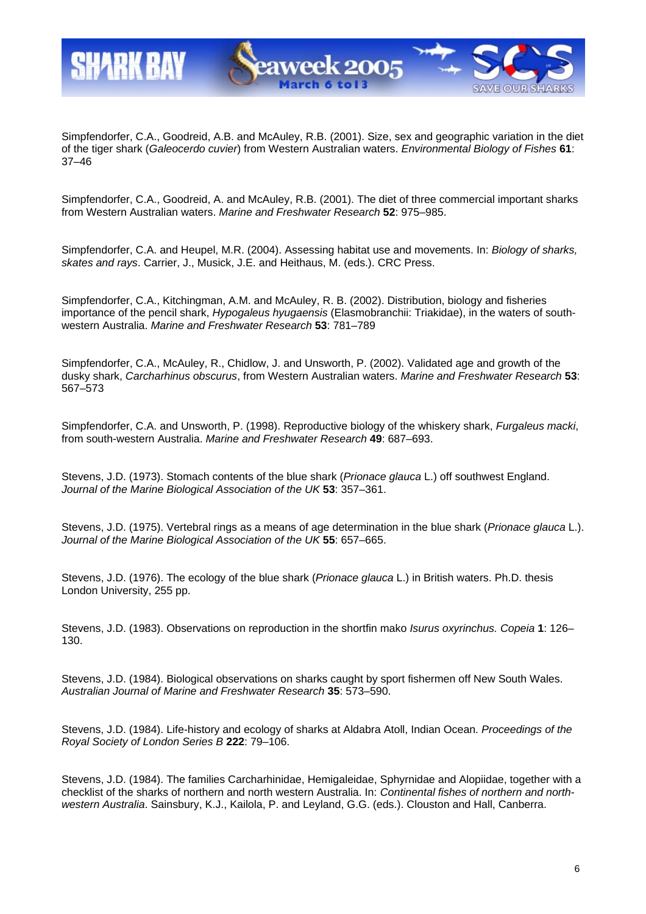

Simpfendorfer, C.A., Goodreid, A.B. and McAuley, R.B. (2001). Size, sex and geographic variation in the diet of the tiger shark (*Galeocerdo cuvier*) from Western Australian waters. *Environmental Biology of Fishes* **61**: 37–46

Simpfendorfer, C.A., Goodreid, A. and McAuley, R.B. (2001). The diet of three commercial important sharks from Western Australian waters. *Marine and Freshwater Research* **52**: 975–985.

Simpfendorfer, C.A. and Heupel, M.R. (2004). Assessing habitat use and movements. In: *Biology of sharks, skates and rays*. Carrier, J., Musick, J.E. and Heithaus, M. (eds.). CRC Press.

Simpfendorfer, C.A., Kitchingman, A.M. and McAuley, R. B. (2002). Distribution, biology and fisheries importance of the pencil shark, *Hypogaleus hyugaensis* (Elasmobranchii: Triakidae), in the waters of southwestern Australia. *Marine and Freshwater Research* **53**: 781–789

Simpfendorfer, C.A., McAuley, R., Chidlow, J. and Unsworth, P. (2002). Validated age and growth of the dusky shark, *Carcharhinus obscurus*, from Western Australian waters. *Marine and Freshwater Research* **53**: 567–573

Simpfendorfer, C.A. and Unsworth, P. (1998). Reproductive biology of the whiskery shark, *Furgaleus macki*, from south-western Australia. *Marine and Freshwater Research* **49**: 687–693.

Stevens, J.D. (1973). Stomach contents of the blue shark (*Prionace glauca* L.) off southwest England. *Journal of the Marine Biological Association of the UK* **53**: 357–361.

Stevens, J.D. (1975). Vertebral rings as a means of age determination in the blue shark (*Prionace glauca* L.). *Journal of the Marine Biological Association of the UK* **55**: 657–665.

Stevens, J.D. (1976). The ecology of the blue shark (*Prionace glauca* L.) in British waters. Ph.D. thesis London University, 255 pp.

Stevens, J.D. (1983). Observations on reproduction in the shortfin mako *Isurus oxyrinchus. Copeia* **1**: 126– 130.

Stevens, J.D. (1984). Biological observations on sharks caught by sport fishermen off New South Wales. *Australian Journal of Marine and Freshwater Research* **35**: 573–590.

Stevens, J.D. (1984). Life-history and ecology of sharks at Aldabra Atoll, Indian Ocean. *Proceedings of the Royal Society of London Series B* **222**: 79–106.

Stevens, J.D. (1984). The families Carcharhinidae, Hemigaleidae, Sphyrnidae and Alopiidae, together with a checklist of the sharks of northern and north western Australia. In: *Continental fishes of northern and northwestern Australia*. Sainsbury, K.J., Kailola, P. and Leyland, G.G. (eds.). Clouston and Hall, Canberra.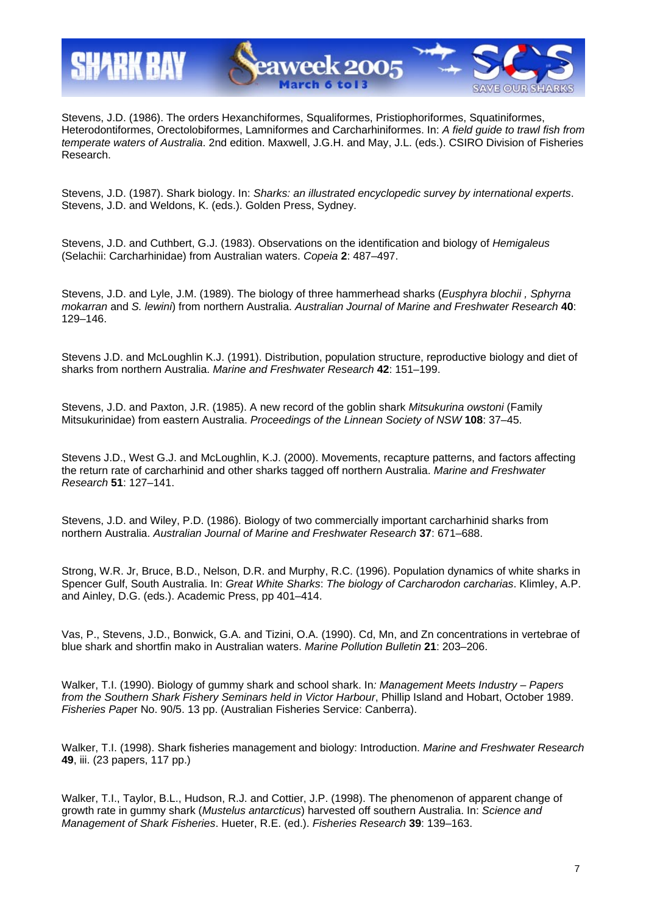

Stevens, J.D. (1986). The orders Hexanchiformes, Squaliformes, Pristiophoriformes, Squatiniformes, Heterodontiformes, Orectolobiformes, Lamniformes and Carcharhiniformes. In: *A field guide to trawl fish from temperate waters of Australia*. 2nd edition. Maxwell, J.G.H. and May, J.L. (eds.). CSIRO Division of Fisheries Research.

Stevens, J.D. (1987). Shark biology. In: *Sharks: an illustrated encyclopedic survey by international experts*. Stevens, J.D. and Weldons, K. (eds.). Golden Press, Sydney.

Stevens, J.D. and Cuthbert, G.J. (1983). Observations on the identification and biology of *Hemigaleus* (Selachii: Carcharhinidae) from Australian waters. *Copeia* **2**: 487–497.

Stevens, J.D. and Lyle, J.M. (1989). The biology of three hammerhead sharks (*Eusphyra blochii , Sphyrna mokarran* and *S. lewini*) from northern Australia. *Australian Journal of Marine and Freshwater Research* **40**: 129–146.

Stevens J.D. and McLoughlin K.J. (1991). Distribution, population structure, reproductive biology and diet of sharks from northern Australia. *Marine and Freshwater Research* **42**: 151–199.

Stevens, J.D. and Paxton, J.R. (1985). A new record of the goblin shark *Mitsukurina owstoni* (Family Mitsukurinidae) from eastern Australia. *Proceedings of the Linnean Society of NSW* **108**: 37–45.

Stevens J.D., West G.J. and McLoughlin, K.J. (2000). Movements, recapture patterns, and factors affecting the return rate of carcharhinid and other sharks tagged off northern Australia. *Marine and Freshwater Research* **51**: 127–141.

Stevens, J.D. and Wiley, P.D. (1986). Biology of two commercially important carcharhinid sharks from northern Australia. *Australian Journal of Marine and Freshwater Research* **37**: 671–688.

Strong, W.R. Jr, Bruce, B.D., Nelson, D.R. and Murphy, R.C. (1996). Population dynamics of white sharks in Spencer Gulf, South Australia. In: *Great White Sharks*: *The biology of Carcharodon carcharias*. Klimley, A.P. and Ainley, D.G. (eds.). Academic Press, pp 401–414.

Vas, P., Stevens, J.D., Bonwick, G.A. and Tizini, O.A. (1990). Cd, Mn, and Zn concentrations in vertebrae of blue shark and shortfin mako in Australian waters. *Marine Pollution Bulletin* **21**: 203–206.

Walker, T.I. (1990). Biology of gummy shark and school shark. In*: Management Meets Industry – Papers from the Southern Shark Fishery Seminars held in Victor Harbour*, Phillip Island and Hobart, October 1989. *Fisheries Pape*r No. 90/5. 13 pp. (Australian Fisheries Service: Canberra).

Walker, T.I. (1998). Shark fisheries management and biology: Introduction. *Marine and Freshwater Research* **49**, iii. (23 papers, 117 pp.)

Walker, T.I., Taylor, B.L., Hudson, R.J. and Cottier, J.P. (1998). The phenomenon of apparent change of growth rate in gummy shark (*Mustelus antarcticus*) harvested off southern Australia. In: *Science and Management of Shark Fisheries*. Hueter, R.E. (ed.). *Fisheries Research* **39**: 139–163.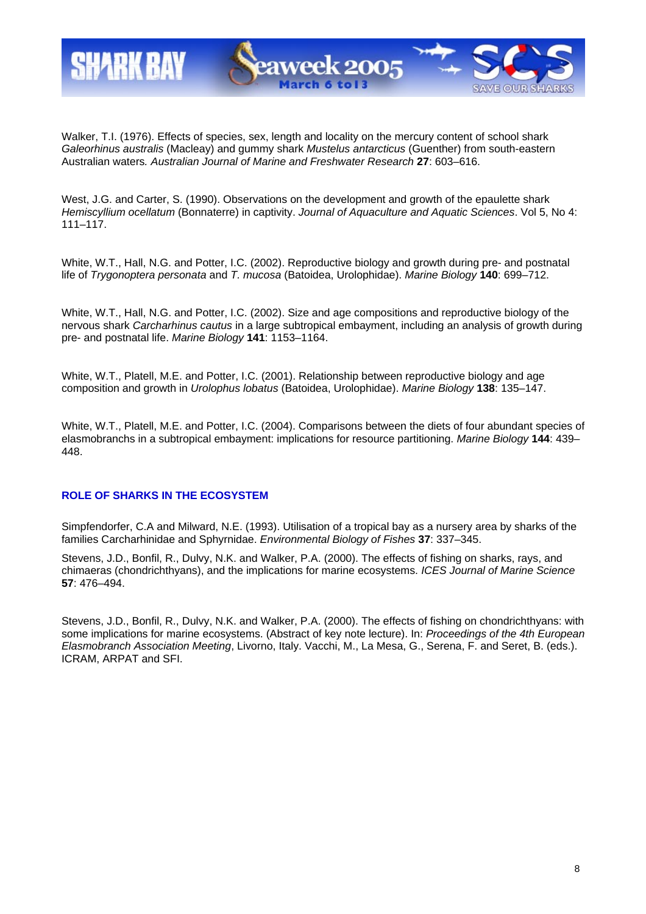

Walker, T.I. (1976). Effects of species, sex, length and locality on the mercury content of school shark *Galeorhinus australis* (Macleay) and gummy shark *Mustelus antarcticus* (Guenther) from south-eastern Australian waters*. Australian Journal of Marine and Freshwater Research* **27**: 603–616.

West, J.G. and Carter, S. (1990). Observations on the development and growth of the epaulette shark *Hemiscyllium ocellatum* (Bonnaterre) in captivity. *Journal of Aquaculture and Aquatic Sciences*. Vol 5, No 4: 111–117.

White, W.T., Hall, N.G. and Potter, I.C. (2002). Reproductive biology and growth during pre- and postnatal life of *Trygonoptera personata* and *T. mucosa* (Batoidea, Urolophidae). *Marine Biology* **140**: 699–712.

White, W.T., Hall, N.G. and Potter, I.C. (2002). Size and age compositions and reproductive biology of the nervous shark *Carcharhinus cautus* in a large subtropical embayment, including an analysis of growth during pre- and postnatal life. *Marine Biology* **141**: 1153–1164.

White, W.T., Platell, M.E. and Potter, I.C. (2001). Relationship between reproductive biology and age composition and growth in *Urolophus lobatus* (Batoidea, Urolophidae). *Marine Biology* **138**: 135–147.

White, W.T., Platell, M.E. and Potter, I.C. (2004). Comparisons between the diets of four abundant species of elasmobranchs in a subtropical embayment: implications for resource partitioning. *Marine Biology* **144**: 439– 448.

### **ROLE OF SHARKS IN THE ECOSYSTEM**

Simpfendorfer, C.A and Milward, N.E. (1993). Utilisation of a tropical bay as a nursery area by sharks of the families Carcharhinidae and Sphyrnidae. *Environmental Biology of Fishes* **37**: 337–345.

Stevens, J.D., Bonfil, R., Dulvy, N.K. and Walker, P.A. (2000). The effects of fishing on sharks, rays, and chimaeras (chondrichthyans), and the implications for marine ecosystems. *ICES Journal of Marine Science* **57**: 476–494.

Stevens, J.D., Bonfil, R., Dulvy, N.K. and Walker, P.A. (2000). The effects of fishing on chondrichthyans: with some implications for marine ecosystems. (Abstract of key note lecture). In: *Proceedings of the 4th European Elasmobranch Association Meeting*, Livorno, Italy. Vacchi, M., La Mesa, G., Serena, F. and Seret, B. (eds.). ICRAM, ARPAT and SFI.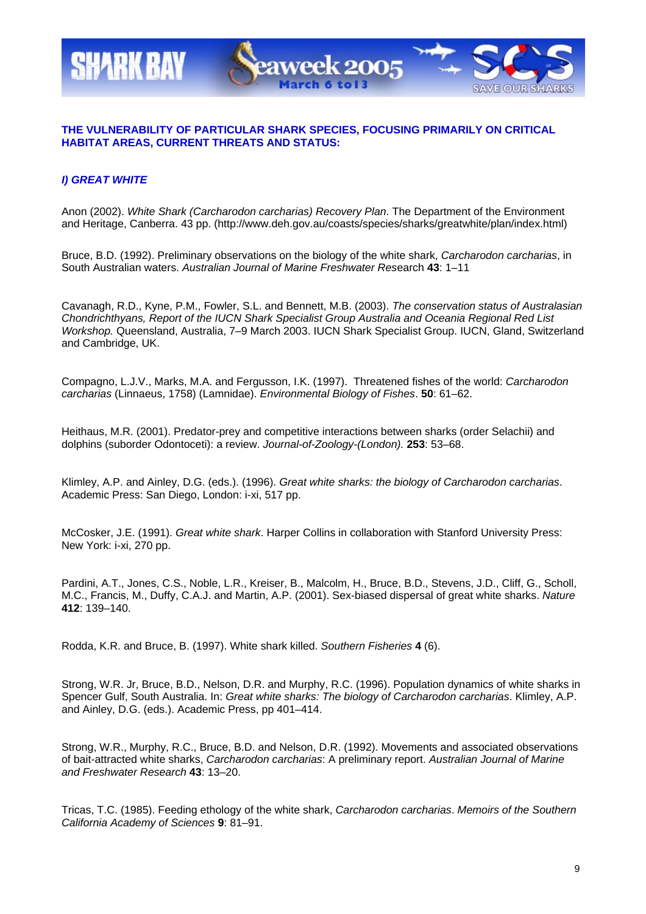

## **THE VULNERABILITY OF PARTICULAR SHARK SPECIES, FOCUSING PRIMARILY ON CRITICAL HABITAT AREAS, CURRENT THREATS AND STATUS:**

## *I) GREAT WHITE*

Anon (2002). *White Shark (Carcharodon carcharias) Recovery Plan*. The Department of the Environment and Heritage, Canberra. 43 pp. (http://www.deh.gov.au/coasts/species/sharks/greatwhite/plan/index.html)

Bruce, B.D. (1992). Preliminary observations on the biology of the white shark, *Carcharodon carcharias*, in South Australian waters. *Australian Journal of Marine Freshwater Res*earch **43**: 1–11

Cavanagh, R.D., Kyne, P.M., Fowler, S.L. and Bennett, M.B. (2003). *The conservation status of Australasian Chondrichthyans, Report of the IUCN Shark Specialist Group Australia and Oceania Regional Red List Workshop.* Queensland, Australia, 7–9 March 2003. IUCN Shark Specialist Group. IUCN, Gland, Switzerland and Cambridge, UK.

Compagno, L.J.V., Marks, M.A. and Fergusson, I.K. (1997). Threatened fishes of the world: *Carcharodon carcharias* (Linnaeus, 1758) (Lamnidae). *Environmental Biology of Fishes*. **50**: 61–62.

Heithaus, M.R. (2001). Predator-prey and competitive interactions between sharks (order Selachii) and dolphins (suborder Odontoceti): a review. *Journal-of-Zoology-(London).* **253**: 53–68.

Klimley, A.P. and Ainley, D.G. (eds.). (1996). *Great white sharks: the biology of Carcharodon carcharias*. Academic Press: San Diego, London: i-xi, 517 pp.

McCosker, J.E. (1991). *Great white shark*. Harper Collins in collaboration with Stanford University Press: New York: i-xi, 270 pp.

Pardini, A.T., Jones, C.S., Noble, L.R., Kreiser, B., Malcolm, H., Bruce, B.D., Stevens, J.D., Cliff, G., Scholl, M.C., Francis, M., Duffy, C.A.J. and Martin, A.P. (2001). Sex-biased dispersal of great white sharks. *Nature* **412**: 139–140.

Rodda, K.R. and Bruce, B. (1997). White shark killed. *Southern Fisheries* **4** (6).

Strong, W.R. Jr, Bruce, B.D., Nelson, D.R. and Murphy, R.C. (1996). Population dynamics of white sharks in Spencer Gulf, South Australia. In: *Great white sharks: The biology of Carcharodon carcharias*. Klimley, A.P. and Ainley, D.G. (eds.). Academic Press, pp 401–414.

Strong, W.R., Murphy, R.C., Bruce, B.D. and Nelson, D.R. (1992). Movements and associated observations of bait-attracted white sharks, *Carcharodon carcharias*: A preliminary report. *Australian Journal of Marine and Freshwater Research* **43**: 13–20.

Tricas, T.C. (1985). Feeding ethology of the white shark, *Carcharodon carcharias*. *Memoirs of the Southern California Academy of Sciences* **9**: 81–91.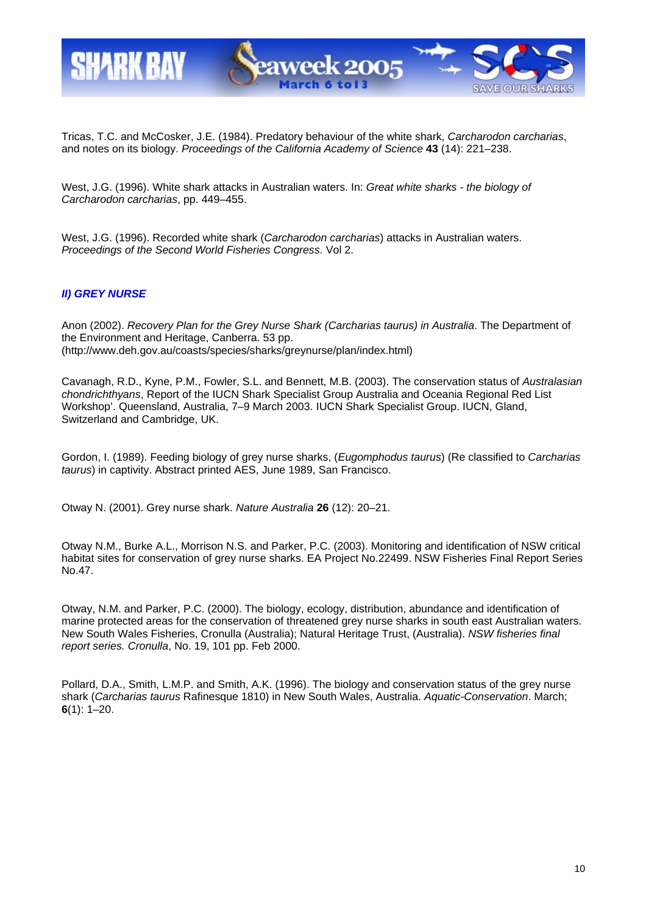

Tricas, T.C. and McCosker, J.E. (1984). Predatory behaviour of the white shark, *Carcharodon carcharias*, and notes on its biology. *Proceedings of the California Academy of Science* **43** (14): 221–238.

West, J.G. (1996). White shark attacks in Australian waters. In: *Great white sharks - the biology of Carcharodon carcharias*, pp. 449–455.

West, J.G. (1996). Recorded white shark (*Carcharodon carcharias*) attacks in Australian waters. *Proceedings of the Second World Fisheries Congress*. Vol 2.

### *II) GREY NURSE*

Anon (2002). *Recovery Plan for the Grey Nurse Shark (Carcharias taurus) in Australia*. The Department of the Environment and Heritage, Canberra. 53 pp. (http://www.deh.gov.au/coasts/species/sharks/greynurse/plan/index.html)

Cavanagh, R.D., Kyne, P.M., Fowler, S.L. and Bennett, M.B. (2003). The conservation status of *Australasian chondrichthyans*, Report of the IUCN Shark Specialist Group Australia and Oceania Regional Red List Workshop'. Queensland, Australia, 7–9 March 2003. IUCN Shark Specialist Group. IUCN, Gland, Switzerland and Cambridge, UK.

Gordon, I. (1989). Feeding biology of grey nurse sharks, (*Eugomphodus taurus*) (Re classified to *Carcharias taurus*) in captivity. Abstract printed AES, June 1989, San Francisco.

Otway N. (2001). Grey nurse shark. *Nature Australia* **26** (12): 20–21.

Otway N.M., Burke A.L., Morrison N.S. and Parker, P.C. (2003). Monitoring and identification of NSW critical habitat sites for conservation of grey nurse sharks. EA Project No.22499. NSW Fisheries Final Report Series No.47.

Otway, N.M. and Parker, P.C. (2000). The biology, ecology, distribution, abundance and identification of marine protected areas for the conservation of threatened grey nurse sharks in south east Australian waters. New South Wales Fisheries, Cronulla (Australia); Natural Heritage Trust, (Australia). *NSW fisheries final report series. Cronulla*, No. 19, 101 pp. Feb 2000.

Pollard, D.A., Smith, L.M.P. and Smith, A.K. (1996). The biology and conservation status of the grey nurse shark (*Carcharias taurus* Rafinesque 1810) in New South Wales, Australia. *Aquatic-Conservation*. March; **6**(1): 1–20.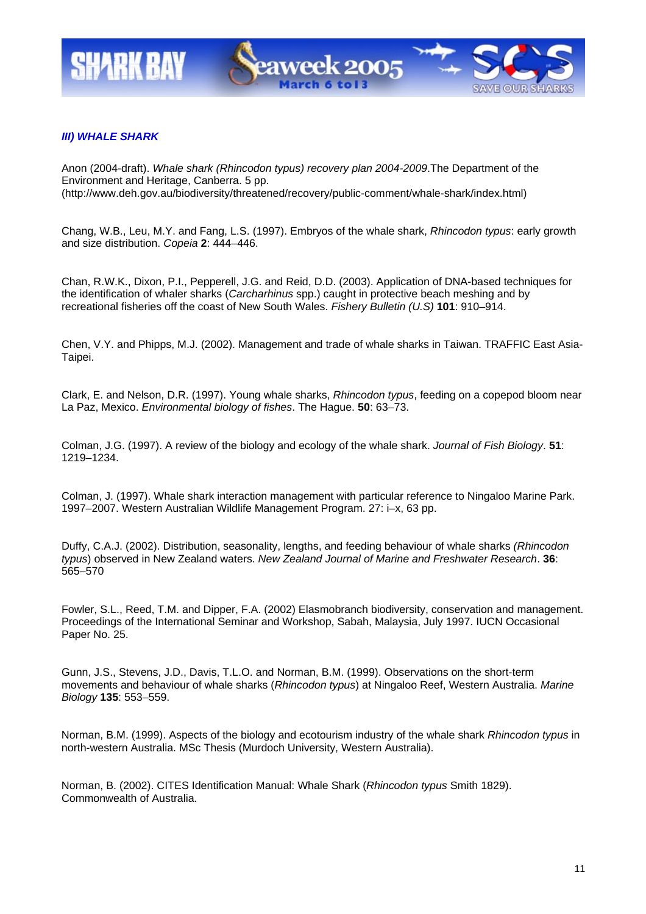

### *III) WHALE SHARK*

Anon (2004-draft). *Whale shark (Rhincodon typus) recovery plan 2004-2009*.The Department of the Environment and Heritage, Canberra. 5 pp. (http://www.deh.gov.au/biodiversity/threatened/recovery/public-comment/whale-shark/index.html)

Chang, W.B., Leu, M.Y. and Fang, L.S. (1997). Embryos of the whale shark, *Rhincodon typus*: early growth and size distribution. *Copeia* **2**: 444–446.

Chan, R.W.K., Dixon, P.I., Pepperell, J.G. and Reid, D.D. (2003). Application of DNA-based techniques for the identification of whaler sharks (*Carcharhinus* spp.) caught in protective beach meshing and by recreational fisheries off the coast of New South Wales. *Fishery Bulletin (U.S)* **101**: 910–914.

Chen, V.Y. and Phipps, M.J. (2002). Management and trade of whale sharks in Taiwan. TRAFFIC East Asia-Taipei.

Clark, E. and Nelson, D.R. (1997). Young whale sharks, *Rhincodon typus*, feeding on a copepod bloom near La Paz, Mexico. *Environmental biology of fishes*. The Hague. **50**: 63–73.

Colman, J.G. (1997). A review of the biology and ecology of the whale shark. *Journal of Fish Biology*. **51**: 1219–1234.

Colman, J. (1997). Whale shark interaction management with particular reference to Ningaloo Marine Park. 1997–2007. Western Australian Wildlife Management Program. 27: i–x, 63 pp.

Duffy, C.A.J. (2002). Distribution, seasonality, lengths, and feeding behaviour of whale sharks *(Rhincodon typus*) observed in New Zealand waters. *New Zealand Journal of Marine and Freshwater Research*. **36**: 565–570

Fowler, S.L., Reed, T.M. and Dipper, F.A. (2002) Elasmobranch biodiversity, conservation and management. Proceedings of the International Seminar and Workshop, Sabah, Malaysia, July 1997. IUCN Occasional Paper No. 25.

Gunn, J.S., Stevens, J.D., Davis, T.L.O. and Norman, B.M. (1999). Observations on the short-term movements and behaviour of whale sharks (*Rhincodon typus*) at Ningaloo Reef, Western Australia. *Marine Biology* **135**: 553–559.

Norman, B.M. (1999). Aspects of the biology and ecotourism industry of the whale shark *Rhincodon typus* in north-western Australia. MSc Thesis (Murdoch University, Western Australia).

Norman, B. (2002). CITES Identification Manual: Whale Shark (*Rhincodon typus* Smith 1829). Commonwealth of Australia.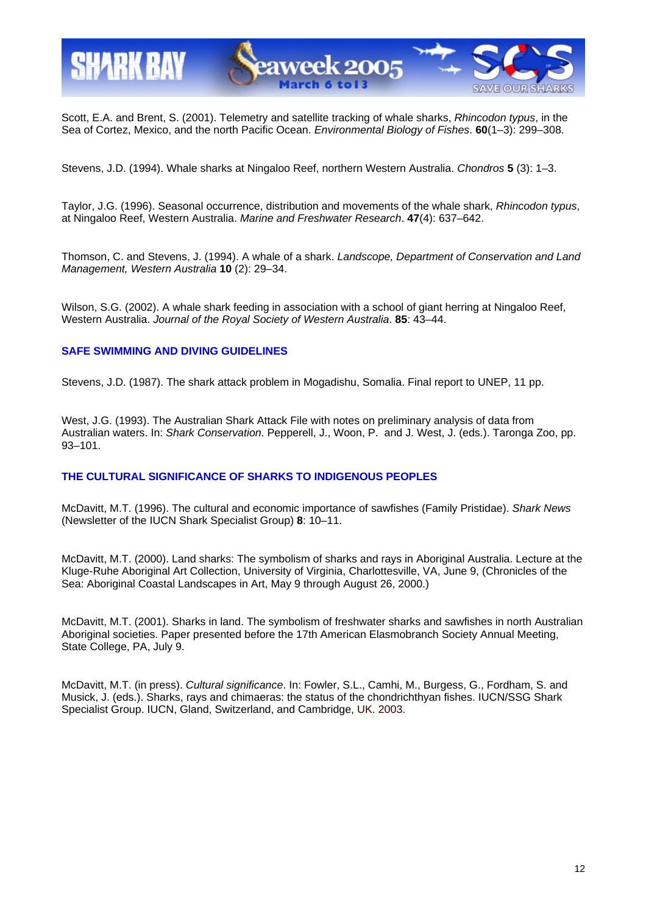

Scott, E.A. and Brent, S. (2001). Telemetry and satellite tracking of whale sharks, *Rhincodon typus*, in the Sea of Cortez, Mexico, and the north Pacific Ocean. *Environmental Biology of Fishes*. **60**(1–3): 299–308.

Stevens, J.D. (1994). Whale sharks at Ningaloo Reef, northern Western Australia. *Chondros* **5** (3): 1–3.

Taylor, J.G. (1996). Seasonal occurrence, distribution and movements of the whale shark, *Rhincodon typus*, at Ningaloo Reef, Western Australia. *Marine and Freshwater Research*. **47**(4): 637–642.

Thomson, C. and Stevens, J. (1994). A whale of a shark. *Landscope, Department of Conservation and Land Management, Western Australia* **10** (2): 29–34.

Wilson, S.G. (2002). A whale shark feeding in association with a school of giant herring at Ningaloo Reef, Western Australia. *Journal of the Royal Society of Western Australia*. **85**: 43–44.

### **SAFE SWIMMING AND DIVING GUIDELINES**

Stevens, J.D. (1987). The shark attack problem in Mogadishu, Somalia. Final report to UNEP, 11 pp.

West, J.G. (1993). The Australian Shark Attack File with notes on preliminary analysis of data from Australian waters. In: *Shark Conservation*. Pepperell, J., Woon, P. and J. West, J. (eds.). Taronga Zoo, pp. 93–101.

### **THE CULTURAL SIGNIFICANCE OF SHARKS TO INDIGENOUS PEOPLES**

McDavitt, M.T. (1996). The cultural and economic importance of sawfishes (Family Pristidae). *Shark News* (Newsletter of the IUCN Shark Specialist Group) **8**: 10–11.

McDavitt, M.T. (2000). Land sharks: The symbolism of sharks and rays in Aboriginal Australia. Lecture at the Kluge-Ruhe Aboriginal Art Collection, University of Virginia, Charlottesville, VA, June 9, (Chronicles of the Sea: Aboriginal Coastal Landscapes in Art, May 9 through August 26, 2000.)

McDavitt, M.T. (2001). Sharks in land. The symbolism of freshwater sharks and sawfishes in north Australian Aboriginal societies. Paper presented before the 17th American Elasmobranch Society Annual Meeting, State College, PA, July 9.

McDavitt, M.T. (in press). *Cultural significance*. In: Fowler, S.L., Camhi, M., Burgess, G., Fordham, S. and Musick, J. (eds.). Sharks, rays and chimaeras: the status of the chondrichthyan fishes. IUCN/SSG Shark Specialist Group. IUCN, Gland, Switzerland, and Cambridge, UK. 2003.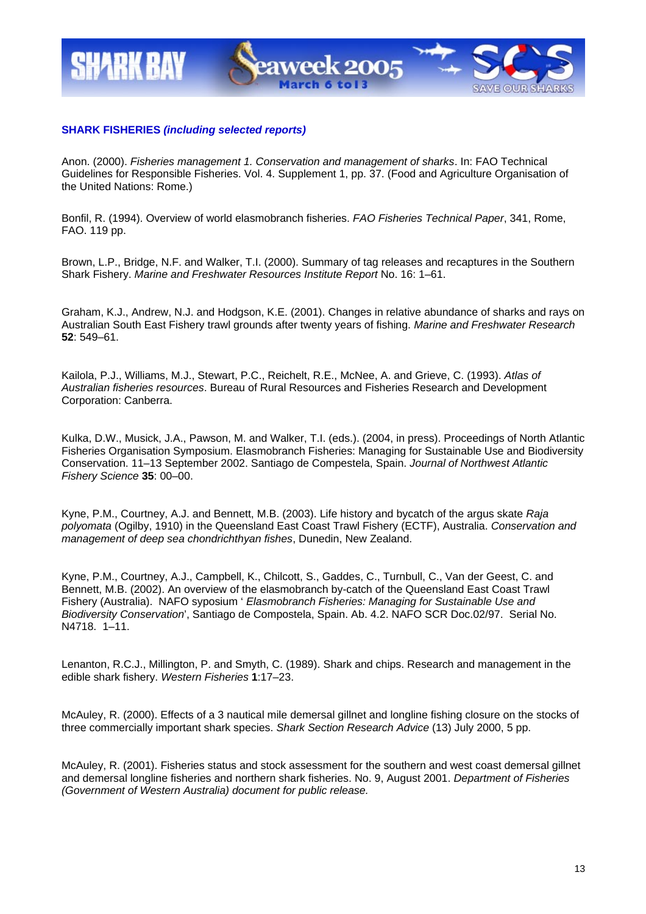

### **SHARK FISHERIES** *(including selected reports)*

Anon. (2000). *Fisheries management 1. Conservation and management of sharks*. In: FAO Technical Guidelines for Responsible Fisheries. Vol. 4. Supplement 1, pp. 37. (Food and Agriculture Organisation of the United Nations: Rome.)

Bonfil, R. (1994). Overview of world elasmobranch fisheries. *FAO Fisheries Technical Paper*, 341, Rome, FAO. 119 pp.

Brown, L.P., Bridge, N.F. and Walker, T.I. (2000). Summary of tag releases and recaptures in the Southern Shark Fishery. *Marine and Freshwater Resources Institute Report* No. 16: 1–61.

Graham, K.J., Andrew, N.J. and Hodgson, K.E. (2001). Changes in relative abundance of sharks and rays on Australian South East Fishery trawl grounds after twenty years of fishing. *Marine and Freshwater Research* **52**: 549–61.

Kailola, P.J., Williams, M.J., Stewart, P.C., Reichelt, R.E., McNee, A. and Grieve, C. (1993). *Atlas of Australian fisheries resources*. Bureau of Rural Resources and Fisheries Research and Development Corporation: Canberra.

Kulka, D.W., Musick, J.A., Pawson, M. and Walker, T.I. (eds.). (2004, in press). Proceedings of North Atlantic Fisheries Organisation Symposium. Elasmobranch Fisheries: Managing for Sustainable Use and Biodiversity Conservation. 11–13 September 2002. Santiago de Compestela, Spain. *Journal of Northwest Atlantic Fishery Science* **35**: 00–00.

Kyne, P.M., Courtney, A.J. and Bennett, M.B. (2003). Life history and bycatch of the argus skate *Raja polyomata* (Ogilby, 1910) in the Queensland East Coast Trawl Fishery (ECTF), Australia. *Conservation and management of deep sea chondrichthyan fishes*, Dunedin, New Zealand.

Kyne, P.M., Courtney, A.J., Campbell, K., Chilcott, S., Gaddes, C., Turnbull, C., Van der Geest, C. and Bennett, M.B. (2002). An overview of the elasmobranch by-catch of the Queensland East Coast Trawl Fishery (Australia). NAFO syposium ' *Elasmobranch Fisheries: Managing for Sustainable Use and Biodiversity Conservation*', Santiago de Compostela, Spain. Ab. 4.2. NAFO SCR Doc.02/97. Serial No. N4718. 1–11.

Lenanton, R.C.J., Millington, P. and Smyth, C. (1989). Shark and chips. Research and management in the edible shark fishery. *Western Fisheries* **1**:17–23.

McAuley, R. (2000). Effects of a 3 nautical mile demersal gillnet and longline fishing closure on the stocks of three commercially important shark species. *Shark Section Research Advice* (13) July 2000, 5 pp.

McAuley, R. (2001). Fisheries status and stock assessment for the southern and west coast demersal gillnet and demersal longline fisheries and northern shark fisheries. No. 9, August 2001. *Department of Fisheries (Government of Western Australia) document for public release.*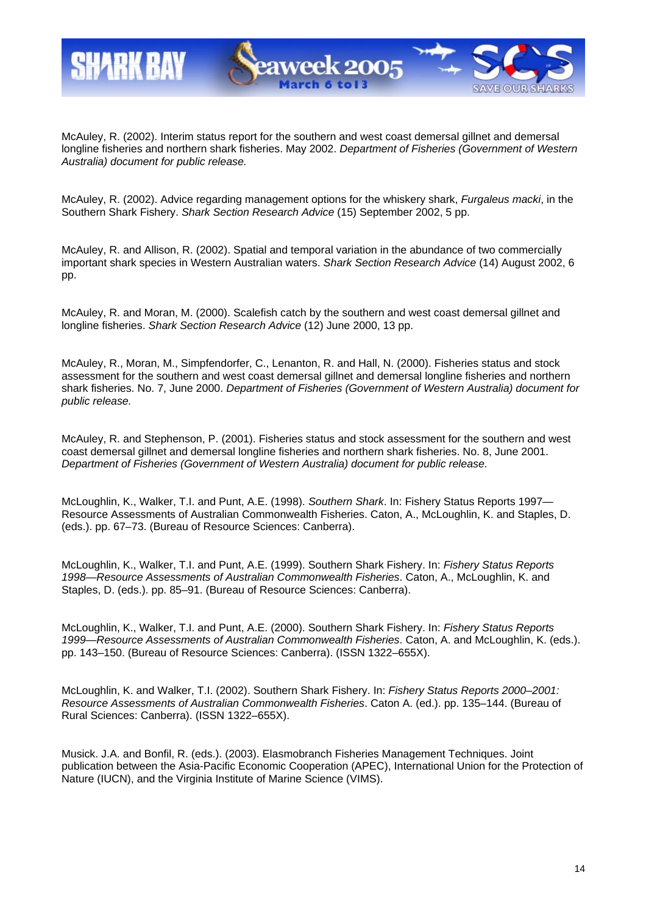

McAuley, R. (2002). Interim status report for the southern and west coast demersal gillnet and demersal longline fisheries and northern shark fisheries. May 2002. *Department of Fisheries (Government of Western Australia) document for public release.* 

McAuley, R. (2002). Advice regarding management options for the whiskery shark, *Furgaleus macki*, in the Southern Shark Fishery. *Shark Section Research Advice* (15) September 2002, 5 pp.

McAuley, R. and Allison, R. (2002). Spatial and temporal variation in the abundance of two commercially important shark species in Western Australian waters. *Shark Section Research Advice* (14) August 2002, 6 pp.

McAuley, R. and Moran, M. (2000). Scalefish catch by the southern and west coast demersal gillnet and longline fisheries. *Shark Section Research Advice* (12) June 2000, 13 pp.

McAuley, R., Moran, M., Simpfendorfer, C., Lenanton, R. and Hall, N. (2000). Fisheries status and stock assessment for the southern and west coast demersal gillnet and demersal longline fisheries and northern shark fisheries. No. 7, June 2000. *Department of Fisheries (Government of Western Australia) document for public release.* 

McAuley, R. and Stephenson, P. (2001). Fisheries status and stock assessment for the southern and west coast demersal gillnet and demersal longline fisheries and northern shark fisheries. No. 8, June 2001. *Department of Fisheries (Government of Western Australia) document for public release.* 

McLoughlin, K., Walker, T.I. and Punt, A.E. (1998). *Southern Shark*. In: Fishery Status Reports 1997— Resource Assessments of Australian Commonwealth Fisheries. Caton, A., McLoughlin, K. and Staples, D. (eds.). pp. 67–73. (Bureau of Resource Sciences: Canberra).

McLoughlin, K., Walker, T.I. and Punt, A.E. (1999). Southern Shark Fishery. In: *Fishery Status Reports 1998—Resource Assessments of Australian Commonwealth Fisheries*. Caton, A., McLoughlin, K. and Staples, D. (eds.). pp. 85–91. (Bureau of Resource Sciences: Canberra).

McLoughlin, K., Walker, T.I. and Punt, A.E. (2000). Southern Shark Fishery. In: *Fishery Status Reports 1999—Resource Assessments of Australian Commonwealth Fisheries*. Caton, A. and McLoughlin, K. (eds.). pp. 143–150. (Bureau of Resource Sciences: Canberra). (ISSN 1322–655X).

McLoughlin, K. and Walker, T.I. (2002). Southern Shark Fishery. In: *Fishery Status Reports 2000–2001: Resource Assessments of Australian Commonwealth Fisheries*. Caton A. (ed.). pp. 135–144. (Bureau of Rural Sciences: Canberra). (ISSN 1322–655X).

Musick. J.A. and Bonfil, R. (eds.). (2003). Elasmobranch Fisheries Management Techniques. Joint publication between the Asia-Pacific Economic Cooperation (APEC), International Union for the Protection of Nature (IUCN), and the Virginia Institute of Marine Science (VIMS).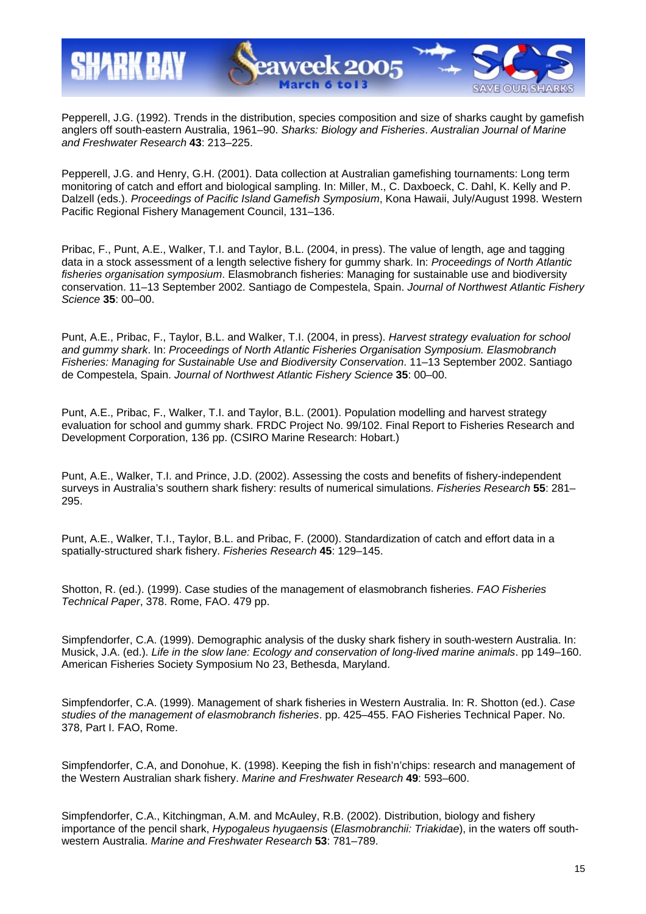

Pepperell, J.G. (1992). Trends in the distribution, species composition and size of sharks caught by gamefish anglers off south-eastern Australia, 1961–90. *Sharks: Biology and Fisheries*. *Australian Journal of Marine and Freshwater Research* **43**: 213–225.

Pepperell, J.G. and Henry, G.H. (2001). Data collection at Australian gamefishing tournaments: Long term monitoring of catch and effort and biological sampling. In: Miller, M., C. Daxboeck, C. Dahl, K. Kelly and P. Dalzell (eds.). *Proceedings of Pacific Island Gamefish Symposium*, Kona Hawaii, July/August 1998. Western Pacific Regional Fishery Management Council, 131–136.

Pribac, F., Punt, A.E., Walker, T.I. and Taylor, B.L. (2004, in press). The value of length, age and tagging data in a stock assessment of a length selective fishery for gummy shark. In: *Proceedings of North Atlantic fisheries organisation symposium*. Elasmobranch fisheries: Managing for sustainable use and biodiversity conservation. 11–13 September 2002. Santiago de Compestela, Spain. *Journal of Northwest Atlantic Fishery Science* **35**: 00–00.

Punt, A.E., Pribac, F., Taylor, B.L. and Walker, T.I. (2004, in press). *Harvest strategy evaluation for school and gummy shark*. In: *Proceedings of North Atlantic Fisheries Organisation Symposium. Elasmobranch Fisheries: Managing for Sustainable Use and Biodiversity Conservation*. 11–13 September 2002. Santiago de Compestela, Spain. *Journal of Northwest Atlantic Fishery Science* **35**: 00–00.

Punt, A.E., Pribac, F., Walker, T.I. and Taylor, B.L. (2001). Population modelling and harvest strategy evaluation for school and gummy shark. FRDC Project No. 99/102. Final Report to Fisheries Research and Development Corporation, 136 pp. (CSIRO Marine Research: Hobart.)

Punt, A.E., Walker, T.I. and Prince, J.D. (2002). Assessing the costs and benefits of fishery-independent surveys in Australia's southern shark fishery: results of numerical simulations. *Fisheries Research* **55**: 281– 295.

Punt, A.E., Walker, T.I., Taylor, B.L. and Pribac, F. (2000). Standardization of catch and effort data in a spatially-structured shark fishery. *Fisheries Research* **45**: 129–145.

Shotton, R. (ed.). (1999). Case studies of the management of elasmobranch fisheries. *FAO Fisheries Technical Paper*, 378. Rome, FAO. 479 pp.

Simpfendorfer, C.A. (1999). Demographic analysis of the dusky shark fishery in south-western Australia. In: Musick, J.A. (ed.). *Life in the slow lane: Ecology and conservation of long-lived marine animals*. pp 149–160. American Fisheries Society Symposium No 23, Bethesda, Maryland.

Simpfendorfer, C.A. (1999). Management of shark fisheries in Western Australia. In: R. Shotton (ed.). *Case studies of the management of elasmobranch fisheries*. pp. 425–455. FAO Fisheries Technical Paper. No. 378, Part I. FAO, Rome.

Simpfendorfer, C.A, and Donohue, K. (1998). Keeping the fish in fish'n'chips: research and management of the Western Australian shark fishery. *Marine and Freshwater Research* **49**: 593–600.

Simpfendorfer, C.A., Kitchingman, A.M. and McAuley, R.B. (2002). Distribution, biology and fishery importance of the pencil shark, *Hypogaleus hyugaensis* (*Elasmobranchii: Triakidae*), in the waters off southwestern Australia. *Marine and Freshwater Research* **53**: 781–789.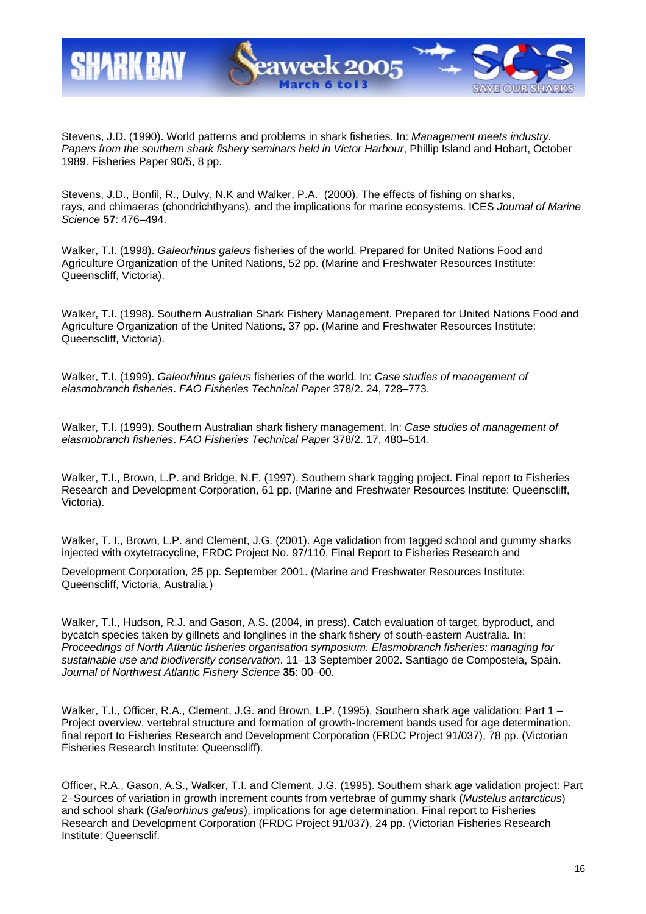

Stevens, J.D. (1990). World patterns and problems in shark fisheries. In: *Management meets industry. Papers from the southern shark fishery seminars held in Victor Harbour*, Phillip Island and Hobart, October 1989. Fisheries Paper 90/5, 8 pp.

Stevens, J.D., Bonfil, R., Dulvy, N.K and Walker, P.A. (2000). The effects of fishing on sharks, rays, and chimaeras (chondrichthyans), and the implications for marine ecosystems. ICES *Journal of Marine Science* **57**: 476–494.

Walker, T.I. (1998). *Galeorhinus galeus* fisheries of the world. Prepared for United Nations Food and Agriculture Organization of the United Nations, 52 pp. (Marine and Freshwater Resources Institute: Queenscliff, Victoria).

Walker, T.I. (1998). Southern Australian Shark Fishery Management. Prepared for United Nations Food and Agriculture Organization of the United Nations, 37 pp. (Marine and Freshwater Resources Institute: Queenscliff, Victoria).

Walker, T.I. (1999). *Galeorhinus galeus* fisheries of the world. In: *Case studies of management of elasmobranch fisheries*. *FAO Fisheries Technical Paper* 378/2. 24, 728–773.

Walker, T.I. (1999). Southern Australian shark fishery management. In: *Case studies of management of elasmobranch fisheries*. *FAO Fisheries Technical Paper* 378/2. 17, 480–514.

Walker, T.I., Brown, L.P. and Bridge, N.F. (1997). Southern shark tagging project. Final report to Fisheries Research and Development Corporation, 61 pp. (Marine and Freshwater Resources Institute: Queenscliff, Victoria).

Walker, T. I., Brown, L.P. and Clement, J.G. (2001). Age validation from tagged school and gummy sharks injected with oxytetracycline, FRDC Project No. 97/110, Final Report to Fisheries Research and

Development Corporation, 25 pp. September 2001. (Marine and Freshwater Resources Institute: Queenscliff, Victoria, Australia.)

Walker, T.I., Hudson, R.J. and Gason, A.S. (2004, in press). Catch evaluation of target, byproduct, and bycatch species taken by gillnets and longlines in the shark fishery of south-eastern Australia. In: *Proceedings of North Atlantic fisheries organisation symposium. Elasmobranch fisheries: managing for sustainable use and biodiversity conservation*. 11–13 September 2002. Santiago de Compostela, Spain. *Journal of Northwest Atlantic Fishery Science* **35**: 00–00.

Walker, T.I., Officer, R.A., Clement, J.G. and Brown, L.P. (1995). Southern shark age validation: Part 1 – Project overview, vertebral structure and formation of growth-Increment bands used for age determination. final report to Fisheries Research and Development Corporation (FRDC Project 91/037), 78 pp. (Victorian Fisheries Research Institute: Queenscliff).

Officer, R.A., Gason, A.S., Walker, T.I. and Clement, J.G. (1995). Southern shark age validation project: Part 2–Sources of variation in growth increment counts from vertebrae of gummy shark (*Mustelus antarcticus*) and school shark (*Galeorhinus galeus*), implications for age determination. Final report to Fisheries Research and Development Corporation (FRDC Project 91/037), 24 pp. (Victorian Fisheries Research Institute: Queensclif.